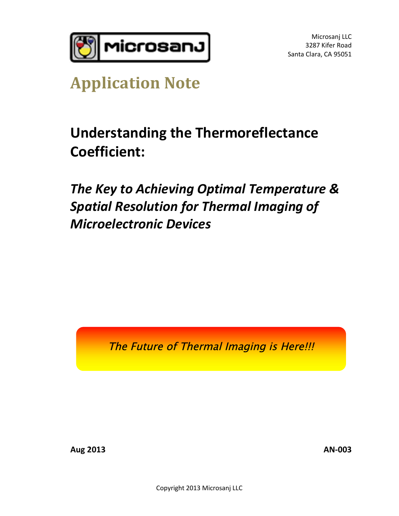

# **Application Note**

**Understanding the Thermoreflectance Coefficient:** 

*The Key to Achieving Optimal Temperature & Spatial Resolution for Thermal Imaging of Microelectronic Devices*

The Future of Thermal Imaging is Here!!!

**Aug 2013 AN-003**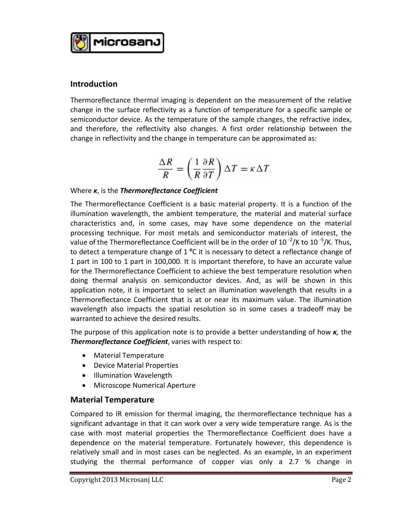

#### **Introduction**

**Introduction**<br>Thermoreflectance thermal imaging is dependent on the measurement of the relative<br>shange in the surface reflectivity as a function of temperature for a specific sample or change in the surface thermal imaging is dependent on the measurement of the relative<br>change in the surface reflectivity as a function of temperature for a specific sample or<br>comisonductor davise. As the temperature of the Thermoreflectance thermal imaging is dependent on the measurement of the relative<br>change in the surface reflectivity as a function of temperature for a specific sample or<br>semiconductor device. As the temperature of the sam change in the surface reflectivity as a function of temperature for a specific sample or<br>semiconductor device. As the temperature of the sample changes, the refractive index,<br>and therefore, the reflectivity also changes. A semiconductor device. As the temperature of the sample changes, the refractivand therefore, the reflectivity also changes. A first order relationship betw<br>change in reflectivity and the change in temperature can be approxi

$$
\frac{\Delta R}{R} = \left(\frac{1}{R}\frac{\partial R}{\partial T}\right)\Delta T = \kappa \Delta T,
$$

#### Where *κ*, is the *Thermoreflectance Coefficient*

Where *K*, is the *Thermoreflectance Coefficient*<br>The Thermoreflectance Coefficient is a basic material property. It is a function of the<br>illumination wavelength, the embient temperature, the material and material surfac illumination wavelength, the ambient temperature, the material and material surface The Thermoreflectance Coefficient is a basic material property. It is a function of the illumination wavelength, the ambient temperature, the material and material surface characteristics and, in some cases, may have some illumination wavelength, the ambient temperature, the material and material surface<br>characteristics and, in some cases, may have some dependence on the material<br>processing technique. For most metals and semiconductor mate characteristics and, in some cases, may have some dependence on the material<br>processing technique. For most metals and semiconductor materials of interest, the<br>value of the Thermoreflectance Coefficient will be in the ord processing technique. For most metals and semiconductor materials of interest, the value of the Thermoreflectance Coefficient will be in the order of  $10^{-2}/K$  to  $10^{-5}/K$ . Thus, to detect a reflectance change of  $1^{10}$ C value of the Thermoreflectance Coefficient will be in the order of 10<sup>-2</sup>/K to 10<sup>-5</sup>/K. Thus,<br>to detect a temperature change of 1 <sup>o</sup>C it is necessary to detect a reflectance change of<br>1 part in 100 to 1 part in 100,000. to detect a temperature change of 1 °C it is necessary to detect a reflectance change of<br>1 part in 100 to 1 part in 100,000. It is important therefore, to have an accurate value<br>for the Thermoreflectance Coefficient to ach doing thermal analysis on semiconductor devices. And, as will be shown in this application note, it is important to select an illumination wavelength that results in a Thermoreflectance Coefficient that is at or near its maximum value. The illumination wavelength also impacts the spatial resolution so in some cases a tradeoff may be warranted to achieve the desired results.

The purpose of this application note is to provide a better understanding of how *κ,* the warranted to achieve the desired results.<br>The purpose of this application note is to provide a bet<br>Thermoreflectance Coefficient, varies with respect to:

- · Material Temperature
- · Device Material Properties
- · Illumination Wavelength
- · Microscope Numerical Aperture

#### **Material Temperature**

studying the thermal performance of copper vias only a 2.7 % change in<br>Copyright 2013 Microsanj LLC Page 2 Compared to IR emission for thermal imaging, the thermoreflectance technique has a significant remperature<br>Sompared to IR emission for thermal imaging, the thermoreflectance technique has a<br>significant advantage in that it can work over a very wide temperature range. As is the Compared to IR emission for thermal imaging, the thermoreflectance technique has a significant advantage in that it can work over a very wide temperature range. As is the case with most material properties the Thermoreflec dependence on the material temperature. Fortunately however, this dependence is case with most material properties the Thermoreflectance Coefficient does have a dependence on the material temperature. Fortunately however, this dependence is relatively small and in most cases can be neglected. As an ex dependence on the material temperature. Fortunately however, this dependence is<br>relatively small and in most cases can be neglected. As an example, in an experiment<br>studying the thermal performance of copper vias only a 2.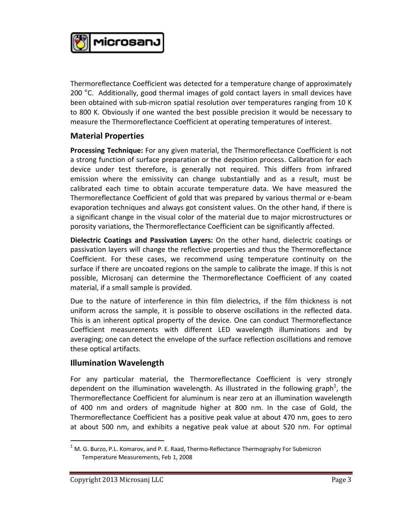

Thermoreflectance Coefficient was detected for a temperature change of approximately 200 °C. Additionally, good thermal images of gold contact layers in small devices have Thermoreflectance Coefficient was detected for a temperature change of approximately<br>200 °C. Additionally, good thermal images of gold contact layers in small devices have<br>been obtained with sub-micron spatial resolution o 200 °C. Additionally, good thermal images of gold contact layers in small devices have<br>been obtained with sub-micron spatial resolution over temperatures ranging from 10 K<br>to 800 K. Obviously if one wanted the best possibl measure the Thermoreflectance Coefficient at operating temperatures of interest.

## **Material Properties**

**Processing Technique:** For any given material, the Thermoreflectance Coefficient is not a strong function of surface preparation or the deposition process. Calibration for each device under test therefore, is generally no a strong function of surface preparation or the deposition process. Calibration for each a strong function of surface preparation or the deposition process. Calibration for each<br>device under test therefore, is generally not required. This differs from infrared<br>emission where the emissivity can change substanti device under test therefore, is generally not required. This differs from infrared<br>emission where the emissivity can change substantially and as a result, must be<br>calibrated each time to obtain accurate temperature data. W Thermoreflectance Coefficient of gold that was prepared by various thermal or e-beam calibrated each time to obtain accurate temperature data. We have measured the Thermoreflectance Coefficient of gold that was prepared by various thermal or e-beam evaporation techniques and always got consistent values. O a significant change in the visual color of the material due to major microstructures or evaporation techniques and always got consistent values. On the other hand, if ther<br>a significant change in the visual color of the material due to major microstructures<br>porosity variations, the Thermoreflectance Coefficie

**Dielectric Coatings and Passivation Layers:** On the other hand, dielectric coatings or porosity variations, the memorenectance coefficient can be significantly affected.<br>**Dielectric Coatings and Passivation Layers:** On the other hand, dielectric coatings or<br>passivation layers will change the reflective prope **Dielectric Coatings and Passivation Layers:** On the other hand, dielectric coatings or passivation layers will change the reflective properties and thus the Thermoreflectance Coefficient. For these cases, we recommend usi surface if there are uncoated regions on the sample to calibrate the image. If this is not material, if a small sample is provided. possible, Microsanj can determine the Thermoreflectance Coefficient of any coated

Due to the nature of interference in thin film dielectrics, if the film thickness is not uniform across the sample, it is possible to observe oscillations in the reflected data. This is an inherent optical property of the device. One can conduct Thermoreflectance Coefficient measurements with different LED wavelength illuminations and by This is an inherent optical property of the device. One can conduct Thermoreflectance<br>Coefficient measurements with different LED wavelength illuminations and by<br>averaging; one can detect the envelope of the surface reflec Coefficient measureme<br>averaging; one can dete<br>these optical artifacts.

## **Illumination Wavelength**

For any particular material, the Thermoreflectance Coefficient is very strongly dependent on the illumination wavelength. As illustrated in the following graph<sup>1</sup>, the Thermoreflectance Coefficient for aluminum is near zero at an illumination wavelength<br>of 400 nm and orders of magnitude higher at 800 nm. In the case of Gold, the<br>Thermoreflectance Coefficient has a positive peak value at of 400 nm and orders of magnitude higher at 800 nm. In the case of Gold, the at about 500 nm, and exhibits a negative peak value at about 520 nm. For optimal

 $\overline{a}$ 

 $1$  M. G. Burzo, P.L. Komarov, and P. E. Raad, Thermo-Reflectance Thermography For Submicron Temperature Measurements, Feb 1, 2008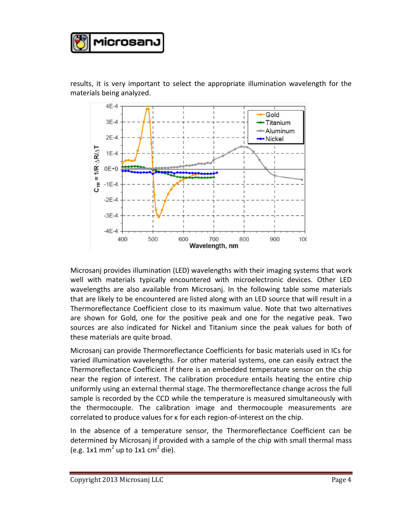

results, it is very important to select the appropriate illumination wavelength for the materials being analyzed.



Microsanj provides illumination (LED) wavelengths with their imaging systems that work Microsanj provides illumination (LED) wavelengths with their imaging systems that work<br>well with materials typically encountered with microelectronic devices. Other LED<br>wavelengths are also available from Misrosani, in the wavelengths are also available from Microsanj. In the following table some materials that are likely to be encountered are listed along with an LED source that will result in a wavelengths are also available from Microsanj. In the following table some materials<br>that are likely to be encountered are listed along with an LED source that will result in a<br>Thermoreflectance Coefficient close to its ma are shown for Gold, one for the positive peak and one for the negative peak. Two Thermoreflectance Coefficient close to its maximum value. Note that two alternatives<br>are shown for Gold, one for the positive peak and one for the negative peak. Two<br>sources are also indicated for Nickel and Titanium since these materials are quite broad. Sources are also indicated for Nickel and Titanium since the peak values for both of<br>these materials are quite broad.<br>Microsanj can provide Thermoreflectance Coefficients for basic materials used in ICs for

these materials are quite broad.<br>Microsanj can provide Thermoreflectance Coefficients for basic materials used in ICs for<br>varied illumination wavelengths. For other material systems, one can easily extract the<br>Thermoreflec Thermoreflectance Coefficient if there is an embedded temperature sensor on the chip varied illumination wavelengths. For other material systems, one can easily extract the Thermoreflectance Coefficient if there is an embedded temperature sensor on the chip near the region of interest. The calibration proc uniformly using an external thermal stage. The thermoreflectance change across the full sample is recorded by the CCD while the temperature is measured simultaneously with<br>the thermocouple. The calibration image and thermocouple measurements are<br>correlated to produce values for κ for each region-of-interest the thermocouple. The calibration image and thermocouple measurements are correlated to produce values for k for each region-of-interest on the chip.<br>In the absence of a temperature sensor, the Thermoreflectance Coefficient can be

determined by Microsanj if provided with a sample of the chip with small thermal mass (e.g. 1x1 mm<sup>2</sup> up to 1x1 cm<sup>2</sup> die).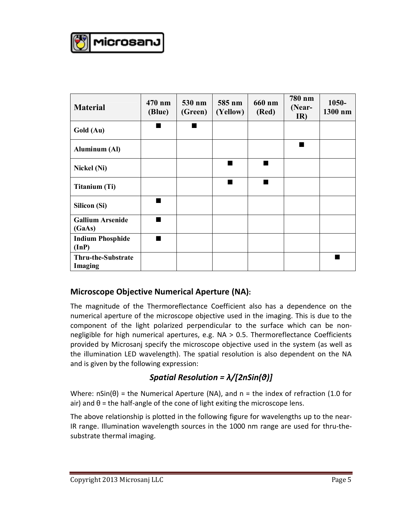

| <b>Material</b>                      | 470 nm<br>(Blue) | 530 nm<br>(Green) | 585 nm<br>(Yellow) | 660 nm<br>(Red) | 780 nm<br>(Near-<br>IR) | 1050-<br>1300 nm |
|--------------------------------------|------------------|-------------------|--------------------|-----------------|-------------------------|------------------|
| Gold (Au)                            |                  |                   |                    |                 |                         |                  |
| <b>Aluminum (Al)</b>                 |                  |                   |                    |                 | ٠                       |                  |
| <b>Nickel (Ni)</b>                   |                  |                   |                    | ■               |                         |                  |
| <b>Titanium (Ti)</b>                 |                  |                   |                    | ٠               |                         |                  |
| <b>Silicon (Si)</b>                  | ٠                |                   |                    |                 |                         |                  |
| <b>Gallium Arsenide</b><br>(GaAs)    | ٠                |                   |                    |                 |                         |                  |
| <b>Indium Phosphide</b><br>(InP)     |                  |                   |                    |                 |                         |                  |
| Thru-the-Substrate<br><b>Imaging</b> |                  |                   |                    |                 |                         |                  |

## **Microscope Objective Numerical Aperture (NA):**

**Microscope Objective Numerical Aperture (NA):**<br>The magnitude of the Thermoreflectance Coefficient also has a dependence on the<br>numerical aperture of the microscope objective used in the imaging. This is due to the numerical aperture of the microscope objective used in the imaging. This is due to the The magnitude of the Thermoreflectance Coefficient also has a dependence on the numerical aperture of the microscope objective used in the imaging. This is due to the component of the light polarized perpendicular to the numerical aperture of the microscope objective used in the imaging. This is due to the component of the light polarized perpendicular to the surface which can be non-<br>negligible for high numerical apertures, e.g. NA > 0.5. provided by Microsanj specify the microscope objective used in the system (as well as and is given by the following expression: negligible for high numerical apertures, e.g. NA > 0.5. Thermoreflectance Coefficients<br>provided by Microsanj specify the microscope objective used in the system (as well as<br>the illumination LED wavelength). The spatial res

## *Spatial Resolution = λ/[2nSin(θ)]*

**Spatial Resolution =**  $\lambda/[2nSin(\vartheta)]$ <br>Where: nSin( $\theta$ ) = the Numerical Aperture (NA), and n = the index of refraction (1.0 for a *Peasar Recension* 1992-1912 by 2016.<br>Where: nSin(θ) = the Numerical Aperture (NA), and n = the index of refraction<br>air) and θ = the half-angle of the cone of light exiting the microscope lens.

The above relationship is plotted in the following figure for wavelengths up to the near-IR range. Illumination wavelength sources in the 1000 nm range are used for thru-thesubstrate thermal imaging.